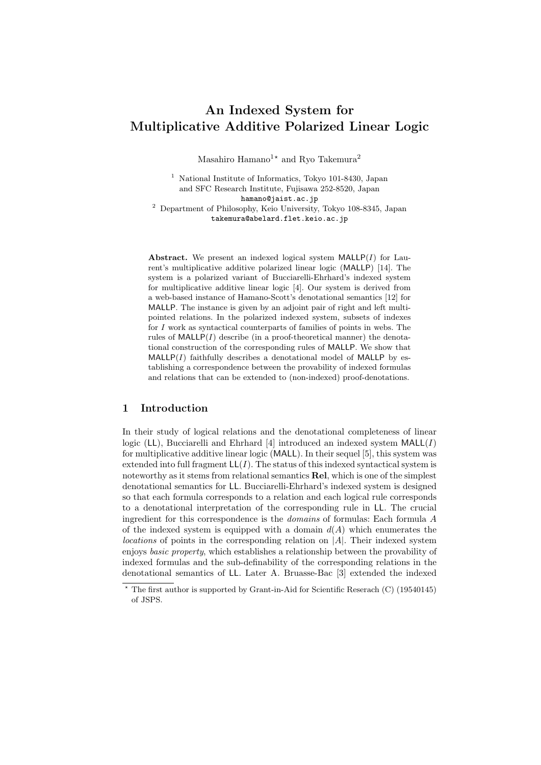# **An Indexed System for Multiplicative Additive Polarized Linear Logic**

Masahiro Hamano<sup>1</sup><sup>\*</sup> and Ryo Takemura<sup>2</sup>

<sup>1</sup> National Institute of Informatics, Tokyo 101-8430, Japan and SFC Research Institute, Fujisawa 252-8520, Japan hamano@jaist.ac.jp <sup>2</sup> Department of Philosophy, Keio University, Tokyo 108-8345, Japan takemura@abelard.flet.keio.ac.jp

**Abstract.** We present an indexed logical system MALLP(*I*) for Laurent's multiplicative additive polarized linear logic (MALLP) [14]. The system is a polarized variant of Bucciarelli-Ehrhard's indexed system for multiplicative additive linear logic [4]. Our system is derived from a web-based instance of Hamano-Scott's denotational semantics [12] for MALLP. The instance is given by an adjoint pair of right and left multipointed relations. In the polarized indexed system, subsets of indexes for *I* work as syntactical counterparts of families of points in webs. The rules of  $\text{MALLP}(I)$  describe (in a proof-theoretical manner) the denotational construction of the corresponding rules of MALLP. We show that  $MALLP(I)$  faithfully describes a denotational model of  $MALLP$  by establishing a correspondence between the provability of indexed formulas and relations that can be extended to (non-indexed) proof-denotations.

# **1 Introduction**

In their study of logical relations and the denotational completeness of linear logic (LL), Bucciarelli and Ehrhard [4] introduced an indexed system MALL(*I*) for multiplicative additive linear logic (MALL). In their sequel [5], this system was extended into full fragment  $LL(I)$ . The status of this indexed syntactical system is noteworthy as it stems from relational semantics **Rel**, which is one of the simplest denotational semantics for LL. Bucciarelli-Ehrhard's indexed system is designed so that each formula corresponds to a relation and each logical rule corresponds to a denotational interpretation of the corresponding rule in LL. The crucial ingredient for this correspondence is the *domains* of formulas: Each formula *A* of the indexed system is equipped with a domain  $d(A)$  which enumerates the *locations* of points in the corresponding relation on *|A|*. Their indexed system enjoys *basic property*, which establishes a relationship between the provability of indexed formulas and the sub-definability of the corresponding relations in the denotational semantics of LL. Later A. Bruasse-Bac [3] extended the indexed

The first author is supported by Grant-in-Aid for Scientific Reserach (C) (19540145) of JSPS.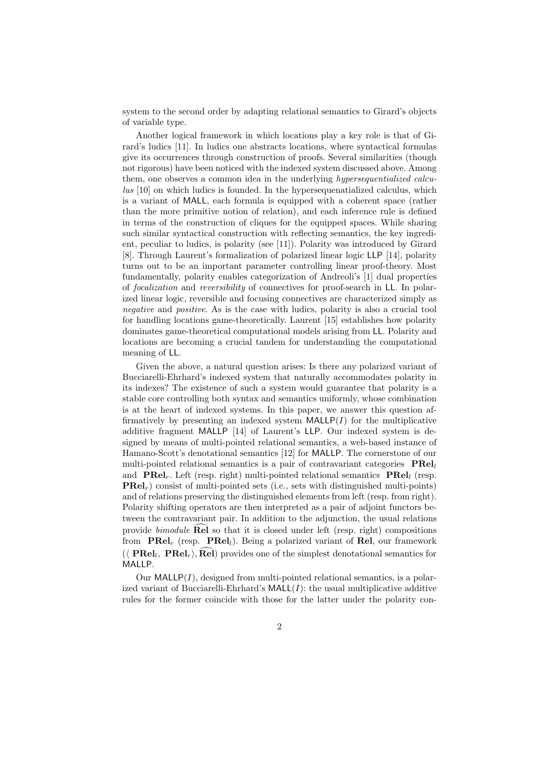system to the second order by adapting relational semantics to Girard's objects of variable type.

Another logical framework in which locations play a key role is that of Girard's ludics [11]. In ludics one abstracts locations, where syntactical formulas give its occurrences through construction of proofs. Several similarities (though not rigorous) have been noticed with the indexed system discussed above. Among them, one observes a common idea in the underlying *hypersequentialized calculus* [10] on which ludics is founded. In the hypersequenatialized calculus, which is a variant of MALL, each formula is equipped with a coherent space (rather than the more primitive notion of relation), and each inference rule is defined in terms of the construction of cliques for the equipped spaces. While sharing such similar syntactical construction with reflecting semantics, the key ingredient, peculiar to ludics, is polarity (see [11]). Polarity was introduced by Girard [8]. Through Laurent's formalization of polarized linear logic LLP [14], polarity turns out to be an important parameter controlling linear proof-theory. Most fundamentally, polarity enables categorization of Andreoli's [1] dual properties of *focalization* and *reversibility* of connectives for proof-search in LL. In polarized linear logic, reversible and focusing connectives are characterized simply as *negative* and *positive*. As is the case with ludics, polarity is also a crucial tool for handling locations game-theoretically. Laurent [15] establishes how polarity dominates game-theoretical computational models arising from LL. Polarity and locations are becoming a crucial tandem for understanding the computational meaning of LL.

Given the above, a natural question arises: Is there any polarized variant of Bucciarelli-Ehrhard's indexed system that naturally accommodates polarity in its indexes? The existence of such a system would guarantee that polarity is a stable core controlling both syntax and semantics uniformly, whose combination is at the heart of indexed systems. In this paper, we answer this question affirmatively by presenting an indexed system  $\text{MALLP}(I)$  for the multiplicative additive fragment MALLP [14] of Laurent's LLP. Our indexed system is designed by means of multi-pointed relational semantics, a web-based instance of Hamano-Scott's denotational semantics [12] for MALLP. The cornerstone of our multi-pointed relational semantics is a pair of contravariant categories **PRel***<sup>l</sup>* and **PRel***r*. Left (resp. right) multi-pointed relational semantics **PRel***<sup>l</sup>* (resp. **PRel***r*) consist of multi-pointed sets (i.e., sets with distinguished multi-points) and of relations preserving the distinguished elements from left (resp. from right). Polarity shifting operators are then interpreted as a pair of adjoint functors between the contravariant pair. In addition to the adjunction, the usual relations provide *bimodule*  $\hat{\text{Rel}}$  so that it is closed under left (resp. right) compositions from **PRel***<sup>r</sup>* (resp. **PRel***l*). Being a polarized variant of **Rel**, our framework  $(\langle \text{ PRel}_l, \text{ PRel}_r \rangle, \text{ Rel})$  provides one of the simplest denotational semantics for MALLP.

Our  $\text{MALLP}(I)$ , designed from multi-pointed relational semantics, is a polarized variant of Bucciarelli-Ehrhard's  $\text{MAL}(I)$ : the usual multiplicative additive rules for the former coincide with those for the latter under the polarity con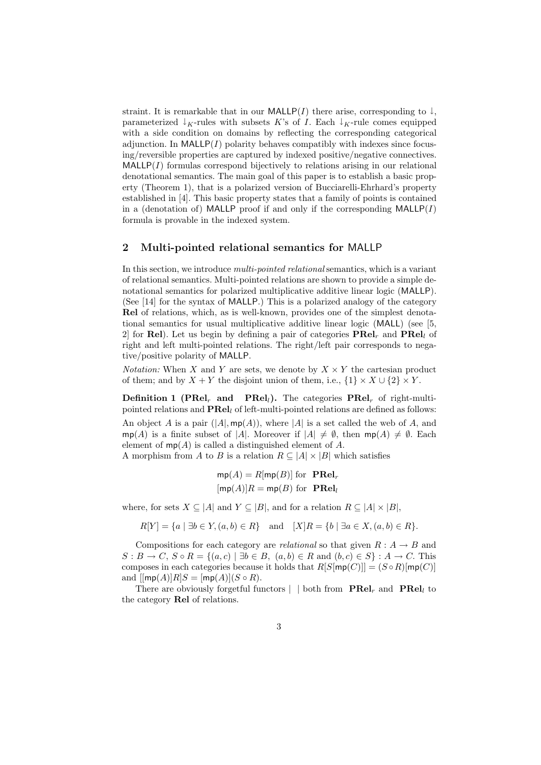straint. It is remarkable that in our MALLP(*I*) there arise, corresponding to  $\downarrow$ , parameterized  $\downarrow$ <sub>K</sub>-rules with subsets *K*'s of *I*. Each  $\downarrow$ <sub>K</sub>-rule comes equipped with a side condition on domains by reflecting the corresponding categorical adjunction. In  $\text{MALLP}(I)$  polarity behaves compatibly with indexes since focusing/reversible properties are captured by indexed positive/negative connectives.  $MALLP(I)$  formulas correspond bijectively to relations arising in our relational denotational semantics. The main goal of this paper is to establish a basic property (Theorem 1), that is a polarized version of Bucciarelli-Ehrhard's property established in [4]. This basic property states that a family of points is contained in a (denotation of) MALLP proof if and only if the corresponding MALLP(*I*) formula is provable in the indexed system.

#### **2 Multi-pointed relational semantics for** MALLP

In this section, we introduce *multi-pointed relational* semantics, which is a variant of relational semantics. Multi-pointed relations are shown to provide a simple denotational semantics for polarized multiplicative additive linear logic (MALLP). (See [14] for the syntax of MALLP.) This is a polarized analogy of the category **Rel** of relations, which, as is well-known, provides one of the simplest denotational semantics for usual multiplicative additive linear logic (MALL) (see [5, 2] for **Rel**). Let us begin by defining a pair of categories **PRel***<sup>r</sup>* and **PRel***<sup>l</sup>* of right and left multi-pointed relations. The right/left pair corresponds to negative/positive polarity of MALLP.

*Notation:* When *X* and *Y* are sets, we denote by  $X \times Y$  the cartesian product of them; and by  $X + Y$  the disjoint union of them, i.e.,  $\{1\} \times X \cup \{2\} \times Y$ .

**Definition 1 (PRel**<sub>*r*</sub> **and PRel**<sub>*l*</sub>**).** The categories  $\mathbf{PRel}_r$  of right-multipointed relations and **PRel***<sup>l</sup>* of left-multi-pointed relations are defined as follows:

An object *A* is a pair  $(|A|, \text{mp}(A))$ , where  $|A|$  is a set called the web of *A*, and mp(*A*) is a finite subset of |*A*|. Moreover if  $|A| \neq \emptyset$ , then mp(*A*)  $\neq \emptyset$ . Each element of mp(*A*) is called a distinguished element of *A*.

A morphism from *A* to *B* is a relation  $R \subseteq |A| \times |B|$  which satisfies

$$
mp(A) = R[mp(B)]
$$
 for **PRel**<sub>r</sub>  
[mp(A)] $R = mp(B)$  for **PRel**<sub>l</sub>

where, for sets  $X \subseteq |A|$  and  $Y \subseteq |B|$ , and for a relation  $R \subseteq |A| \times |B|$ ,

 $R[Y] = \{a \mid \exists b \in Y, (a, b) \in R\}$  and  $[X]R = \{b \mid \exists a \in X, (a, b) \in R\}.$ 

Compositions for each category are *relational* so that given  $R : A \rightarrow B$  and  $S: B \to C$ ,  $S \circ R = \{(a, c) \mid \exists b \in B, (a, b) \in R \text{ and } (b, c) \in S\} : A \to C$ . This composes in each categories because it holds that  $R[S[mp(C)]] = (S \circ R)[mp(C)]$ and  $[\text{mp}(A)]R|S = [\text{mp}(A)](S \circ R).$ 

There are obviously forgetful functors  $| \cdot |$  both from  $\textbf{PRel}_r$  and  $\textbf{PRel}_l$  to the category **Rel** of relations.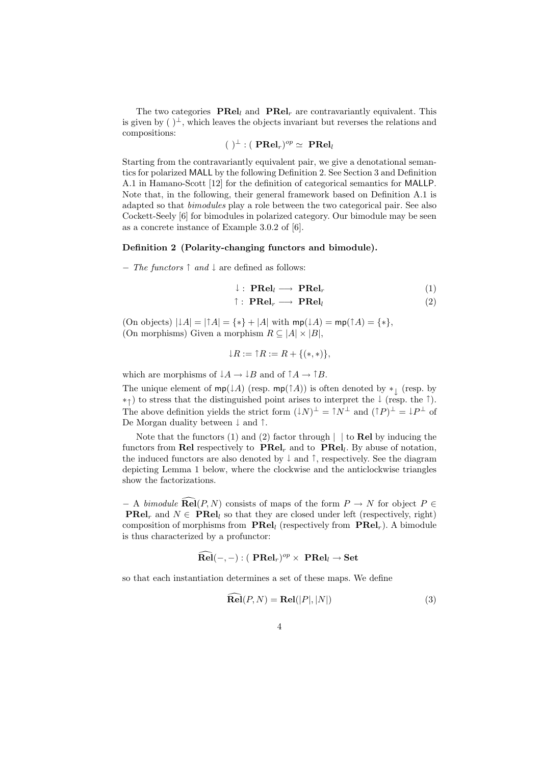The two categories  $\textbf{PRel}_l$  and  $\textbf{PRel}_r$  are contravariantly equivalent. This is given by  $()^{\perp}$ , which leaves the objects invariant but reverses the relations and compositions:

$$
(\ )^{\perp}:(\ \mathbf{PRel}_r)^{op}\simeq\ \mathbf{PRel}_l
$$

Starting from the contravariantly equivalent pair, we give a denotational semantics for polarized MALL by the following Definition 2. See Section 3 and Definition A.1 in Hamano-Scott [12] for the definition of categorical semantics for MALLP. Note that, in the following, their general framework based on Definition A.1 is adapted so that *bimodules* play a role between the two categorical pair. See also Cockett-Seely [6] for bimodules in polarized category. Our bimodule may be seen as a concrete instance of Example 3.0.2 of [6].

#### **Definition 2 (Polarity-changing functors and bimodule).**

*− The functors ↑ and ↓* are defined as follows:

$$
\downarrow : \textbf{PRel}_l \longrightarrow \textbf{PRel}_r \tag{1}
$$

$$
\uparrow : \textbf{PRel}_r \longrightarrow \textbf{PRel}_l \tag{2}
$$

 $(On \text{ objects}) | \downarrow A | = | \uparrow A | = \{ * \} + |A| \text{ with } mp(\downarrow A) = np(\uparrow A) = \{ * \},$ (On morphisms) Given a morphism  $R \subseteq |A| \times |B|$ ,

$$
\downarrow R := \uparrow R := R + \{(*,*)\},
$$

which are morphisms of  $\downarrow A \rightarrow \downarrow B$  and of  $\uparrow A \rightarrow \uparrow B$ .

The unique element of  $mp(1A)$  (resp.  $mp(1A)$ ) is often denoted by  $*_\downarrow$  (resp. by *∗↑* ) to stress that the distinguished point arises to interpret the *↓* (resp. the *↑*). The above definition yields the strict form  $(1N)^{\perp} = \uparrow N^{\perp}$  and  $(\uparrow P)^{\perp} = \downarrow P^{\perp}$  of De Morgan duality between *↓* and *↑*.

Note that the functors (1) and (2) factor through *| |* to **Rel** by inducing the functors from **Rel** respectively to **PRel***<sup>r</sup>* and to **PRel***<sup>l</sup>* . By abuse of notation, the induced functors are also denoted by *↓* and *↑*, respectively. See the diagram depicting Lemma 1 below, where the clockwise and the anticlockwise triangles show the factorizations.

 $-$  A *bimodule* **Rel**(*P, N*) consists of maps of the form  $P \rightarrow N$  for object  $P \in$ **PRel**<sub>*r*</sub> and  $N \in \mathbf{PRel}_l$  so that they are closed under left (respectively, right) composition of morphisms from **PRel***<sup>l</sup>* (respectively from **PRel***r*). A bimodule is thus characterized by a profunctor:

$$
\mathbf{\hat{R}el}(-,-): (\mathbf{PRel}_{r})^{op}\times \mathbf{PRel}_{l}\to \mathbf{Set}
$$

so that each instantiation determines a set of these maps. We define

$$
\mathbf{Rel}(P, N) = \mathbf{Rel}(|P|, |N|)
$$
\n(3)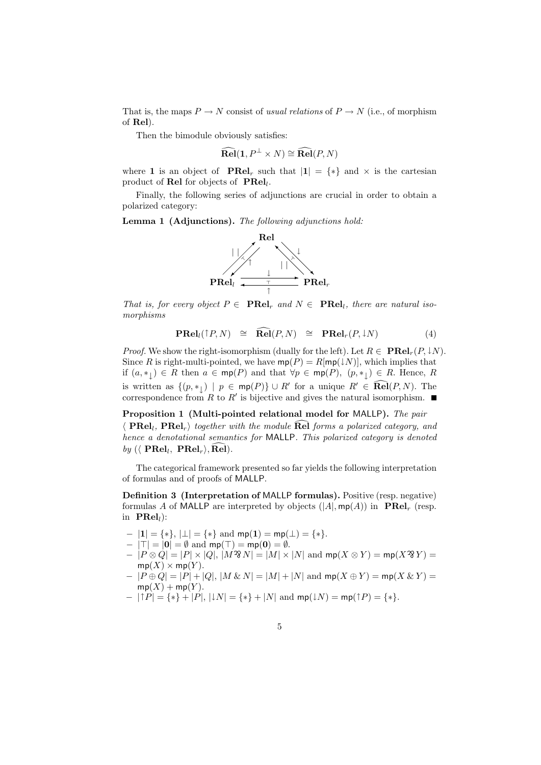That is, the maps  $P \to N$  consist of *usual relations* of  $P \to N$  (i.e., of morphism of **Rel**).

Then the bimodule obviously satisfies:

$$
\widehat{\mathrm{Rel}}(1, P^{\perp} \times N) \cong \widehat{\mathrm{Rel}}(P, N)
$$

where **1** is an object of **PRel**<sub>*r*</sub> such that  $|1| = \{*\}$  and  $\times$  is the cartesian product of **Rel** for objects of **PRel***<sup>l</sup>* .

Finally, the following series of adjunctions are crucial in order to obtain a polarized category:

**Lemma 1 (Adjunctions).** *The following adjunctions hold:*



*That is, for every object*  $P \in \textbf{PRel}_r$  *and*  $N \in \textbf{PRel}_l$ *, there are natural isomorphisms*

$$
\mathbf{PRel}_{l}(\uparrow P, N) \cong \widehat{\mathbf{Rel}}(P, N) \cong \mathbf{PRel}_{r}(P, \downarrow N) \tag{4}
$$

*Proof.* We show the right-isomorphism (dually for the left). Let  $R \in \mathbf{PRel}_r(P, \downarrow N)$ . Since *R* is right-multi-pointed, we have  $mp(P) = R[mp(\downarrow N)]$ , which implies that if (*a, ∗↓* ) *∈ R* then *a ∈* mp(*P*) and that *∀p ∈* mp(*P*)*,* (*p, ∗↓* ) *∈ R*. Hence, *R* is written as  $\{(p, *_{\downarrow}) \mid p \in \text{mp}(P)\} \cup R'$  for a unique  $R' \in \text{Rel}(P, N)$ . The correspondence from  $R$  to  $R'$  is bijective and gives the natural isomorphism.

**Proposition 1 (Multi-pointed relational model for** MALLP**).** *The pair*  $\langle$  **PRel<sub>l</sub>**, **PRel**<sub>*r*</sub> $\rangle$  *together with the module*  $\widehat{\text{Rel}}$  *forms a polarized category, and hence a denotational semantics for* MALLP*. This polarized category is denoted*  $by$  ( $\langle$  **PRel**<sub>*i*</sub>, **PRel**<sub>*r*</sub> $\rangle$ , **Rel**)*.* 

The categorical framework presented so far yields the following interpretation of formulas and of proofs of MALLP.

**Definition 3 (Interpretation of** MALLP **formulas).** Positive (resp. negative) formulas *A* of MALLP are interpreted by objects  $(|A|, mp(A))$  in  $\text{PRel}_r$  (resp. in **PRel***l*):

- *− |***1***|* = *{∗}*, *|⊥|* = *{∗}* and mp(**1**) = mp(*⊥*) = *{∗}*.
- *−*  $|T| = |0| = ∅$  and  $mp(T) = mp(0) = ∅$ .
- $-|P\otimes Q|=|P|\times |Q|, |M\hat{B}N|=|M|\times |N|$  and  $mp(X\otimes Y)=mp(X\hat{B}Y)=$  $mp(X) \times mp(Y)$ .
- $|P \oplus Q| = |P| + |Q|$ ,  $|M \& N| = |M| + |N|$  and  $mp(X \oplus Y) = mp(X \& Y) =$  $mp(X) + mp(Y)$ .
- *− |↑P|* = *{∗}* + *|P|*, *|↓N|* = *{∗}* + *|N|* and mp(*↓N*) = mp(*↑P*) = *{∗}*.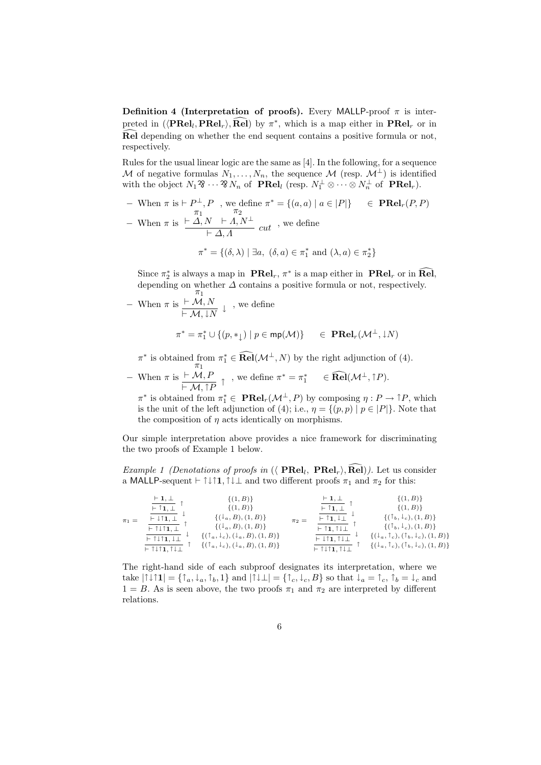**Definition 4 (Interpretation of proofs).** Every MALLP-proof  $\pi$  is interpreted in  $(\langle \text{PRel}_l, \text{PRel}_r \rangle, \hat{\text{Rel}})$  by  $\pi^*$ , which is a map either in  $\text{PRel}_r$  or in Rel depending on whether the end sequent contains a positive formula or not, respectively.

Rules for the usual linear logic are the same as [4]. In the following, for a sequence *M* of negative formulas  $N_1, \ldots, N_n$ , the sequence *M* (resp.  $M^{\perp}$ ) is identified with the object  $N_1 \mathcal{B} \cdots \mathcal{B} N_n$  of **PRel**<sub>*l*</sub> (resp.  $N_1^{\perp} \otimes \cdots \otimes N_n^{\perp}$  of **PRel**<sub>*r*</sub>).

*−* When  $\pi$  is  $\vdash P^{\perp}, P$ , we define  $\pi^* = \{(a, a) \mid a \in |P|\}$  ∈ **PRel***r*(*P, P*) *π*1 *` ∆, N π*2

*−* When *π* is  $\frac{N \times I}{I \times A}$ , *N*  $\frac{I}{I}$  *cut* , we define

$$
\pi^* = \{ (\delta, \lambda) \mid \exists a, \ (\delta, a) \in \pi_1^* \text{ and } (\lambda, a) \in \pi_2^* \}
$$

Since  $\pi_2^*$  is always a map in **PRel**<sub>*r*</sub>,  $\pi^*$  is a map either in **PRel**<sub>*r*</sub> or in **Rel**, depending on whether  $\Delta$  contains a positive formula or not, respectively.

- When 
$$
\pi
$$
 is  $\frac{\vdash \mathcal{M}, N}{\vdash \mathcal{M}, \downarrow N} \downarrow$ , we define

$$
\pi^* = \pi_1^* \cup \{ (p, *_{\downarrow}) \mid p \in \mathsf{mp}(\mathcal{M}) \} \quad \in \; \mathbf{PRel}_r(\mathcal{M}^{\perp}, \downarrow \! N)
$$

 $\pi^*$  is obtained from  $\pi_1^* \in \mathbf{Rel}(\mathcal{M}^\perp, N)$  by the right adjunction of (4). *π*1

*−* When *π* is  $\vdash \mathcal{M}, F$  $\frac{\vdash M, P}{\vdash M, \uparrow P}$  , we define  $\pi^* = \pi_1^*$   $\in \textbf{Rel}(\mathcal{M}^\perp, \uparrow P)$ .

 $\pi^*$  is obtained from  $\pi_1^* \in \mathbf{PRel}_r(\mathcal{M}^\perp, P)$  by composing  $\eta: P \to \uparrow P$ , which is the unit of the left adjunction of (4); i.e.,  $\eta = \{(p, p) | p \in |P|\}$ . Note that the composition of  $\eta$  acts identically on morphisms.

Our simple interpretation above provides a nice framework for discriminating the two proofs of Example 1 below.

*Example 1 (Denotations of proofs in*  $(\langle \text{ PRel}_l, \text{ PRel}_r \rangle, \text{Rel})$ ). Let us consider a MALLP-sequent  $\vdash \uparrow \downarrow \uparrow \uparrow$ ,  $\uparrow \downarrow \perp$  and two different proofs  $\pi_1$  and  $\pi_2$  for this:

| $\pi_1 =$ | $\vdash$ 1, $\bot$<br>$\vdash$ 1, 1<br>$\models \downarrow \uparrow$ 1, $\perp$<br>$\vdash$ $\uparrow \downarrow \uparrow$ 1, $\perp$<br>$\vdash$ $\uparrow \downarrow \uparrow$ 1, $\downarrow \perp$ | $\{(1, B)\}\$<br>$\{(1, B)\}\$<br>$\{(\downarrow_a, B), (1, B)\}\$<br>$\{(\downarrow_a, B), (1, B)\}\$<br>$\{(\ulcorner a, \downarrow_c), (\downarrow_a, B), (1, B)\}\$ | $\pi$ <sub>2</sub> = | $\vdash 1, \bot$<br>$\vdash$ 1, $\perp$<br>$\vdash$ $\uparrow$ 1, $\downarrow$ $\perp$<br>$\models$ $\uparrow$ 1, $\uparrow \downarrow \perp$<br>$\vdash \downarrow \uparrow$ 1, $\uparrow \downarrow \perp$ | $\{(1, B)\}\$<br>$\{(1, B)\}\$<br>$\{(\mathbb{T}_b, \mathbb{T}_c), (1, B)\}\$<br>$\{(\ulcorner_b, \downarrow_c), (1, B)\}\$<br>$\{(\downarrow_a, \uparrow_c), (\uparrow_b, \downarrow_c), (1, B)\}\$ |
|-----------|--------------------------------------------------------------------------------------------------------------------------------------------------------------------------------------------------------|-------------------------------------------------------------------------------------------------------------------------------------------------------------------------|----------------------|--------------------------------------------------------------------------------------------------------------------------------------------------------------------------------------------------------------|------------------------------------------------------------------------------------------------------------------------------------------------------------------------------------------------------|
|           | $\vdash$ $\uparrow \downarrow \uparrow$ 1, $\uparrow \downarrow \perp$                                                                                                                                 | $\{(\ulcorner a, \vdash_c), (\vdash_a, B), (1, B)\}\$                                                                                                                   |                      | $\vdash$ 1 $\downarrow$ 1, 1 $\downarrow$ $\perp$                                                                                                                                                            | $\{(\downarrow_a, \uparrow_c), (\uparrow_b, \downarrow_c), (1, B)\}\$                                                                                                                                |

The right-hand side of each subproof designates its interpretation, where we take  $|\uparrow\downarrow\uparrow\mathbf{1}| = {\uparrow_a, \downarrow_a, \uparrow_b, 1}$  and  $|\uparrow\downarrow\perp| = {\uparrow_c, \downarrow_c, B}$  so that  $\downarrow_a = \uparrow_c, \uparrow_b = \downarrow_c$  and  $1 = B$ . As is seen above, the two proofs  $\pi_1$  and  $\pi_2$  are interpreted by different relations.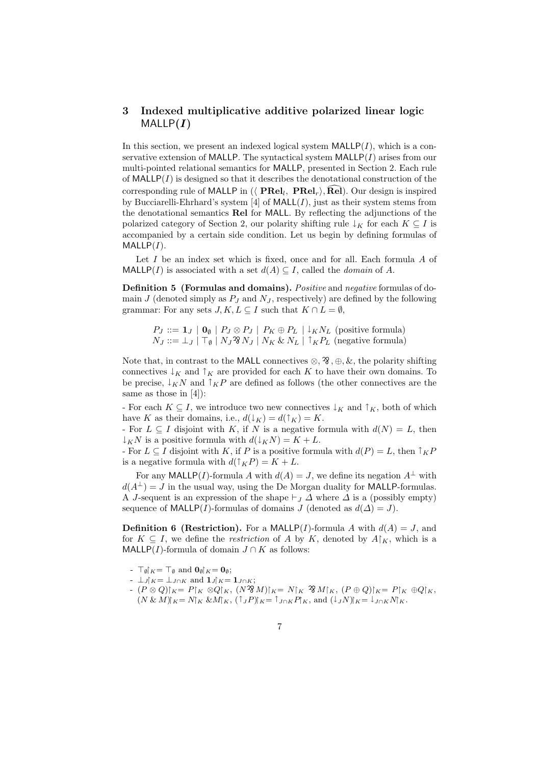# **3 Indexed multiplicative additive polarized linear logic**  $MALLP(I)$

In this section, we present an indexed logical system  $\textsf{MALLP}(I)$ , which is a conservative extension of MALLP. The syntactical system MALLP(*I*) arises from our multi-pointed relational semantics for MALLP, presented in Section 2. Each rule of  $\text{MALLP}(I)$  is designed so that it describes the denotational construction of the corresponding rule of MALLP in  $(\langle \text{ PRel}_l, \text{ PRel}_r \rangle, \text{Rel})$ . Our design is inspired by Bucciarelli-Ehrhard's system [4] of MALL(*I*), just as their system stems from the denotational semantics **Rel** for MALL. By reflecting the adjunctions of the polarized category of Section 2, our polarity shifting rule  $\downarrow_K$  for each  $K \subseteq I$  is accompanied by a certain side condition. Let us begin by defining formulas of MALLP(*I*).

Let *I* be an index set which is fixed, once and for all. Each formula *A* of MALLP(*I*) is associated with a set  $d(A) \subseteq I$ , called the *domain* of *A*.

**Definition 5 (Formulas and domains).** *Positive* and *negative* formulas of domain *J* (denoted simply as  $P_J$  and  $N_J$ , respectively) are defined by the following grammar: For any sets  $J, K, L \subseteq I$  such that  $K \cap L = \emptyset$ ,

 $P_J ::= \mathbf{1}_J | \mathbf{0}_{\emptyset} | P_J \otimes P_J | P_K \oplus P_L | \downarrow_K N_L$  (positive formula)  $N_J ::= \perp_J | \top_\emptyset | N_J \mathfrak{B} N_J | N_K \& N_L | \top_K P_L$  (negative formula)

 $\text{Note that, in contrast to the MATLAB connectives } \otimes, \mathcal{X}, \oplus, \&$ , the polarity shifting connectives  $\downarrow_K$  and  $\uparrow_K$  are provided for each *K* to have their own domains. To be precise,  $\downarrow$ <sub>K</sub>N and  $\uparrow$ <sub>K</sub>P are defined as follows (the other connectives are the same as those in [4]):

- For each  $K \subseteq I$ , we introduce two new connectives  $\downarrow_K$  and  $\uparrow_K$ , both of which have *K* as their domains, i.e.,  $d(\downarrow_K) = d(\uparrow_K) = K$ .

- For  $L \subseteq I$  disjoint with *K*, if *N* is a negative formula with  $d(N) = L$ , then *↓KN* is a positive formula with *d*(*↓KN*) = *K* + *L*.

- For  $L \subseteq I$  disjoint with  $K$ , if  $P$  is a positive formula with  $d(P) = L$ , then  $\uparrow_K P$ is a negative formula with  $d(\uparrow_K P) = K + L$ .

For any MALLP(*I*)-formula *A* with  $d(A) = J$ , we define its negation  $A^{\perp}$  with  $d(A^{\perp}) = J$  in the usual way, using the De Morgan duality for MALLP-formulas. A *J*-sequent is an expression of the shape  $\vdash_J \Delta$  where  $\Delta$  is a (possibly empty) sequence of MALLP(*I*)-formulas of domains *J* (denoted as  $d(\Delta) = J$ ).

**Definition 6 (Restriction).** For a MALLP(*I*)-formula *A* with  $d(A) = J$ , and for  $K \subseteq I$ , we define the *restriction* of *A* by *K*, denoted by  $A\upharpoonright_K$ , which is a MALLP(*I*)-formula of domain  $J \cap K$  as follows:

- **-**  $\top_{\emptyset}$   $K = \top_{\emptyset}$  and  $\mathbf{0}_{\emptyset}$   $K = \mathbf{0}_{\emptyset}$ ;
- $-$  *⊥J* $\upharpoonright$ *K* = *⊥J* $\cap$ *K*</sub> and **1***J* $\upharpoonright$ *K* = **1***J* $\cap$ *K*;
- $(P \otimes Q)|_K = P|_K \otimes Q|_K$ ,  $(N \otimes M)|_K = N|_K \otimes M|_K$ ,  $(P \oplus Q)|_K = P|_K \oplus Q|_K$  $(N \& M)|_K = N|_K \& M|_K$ ,  $(\uparrow_J P)|_K = \uparrow_{J \cap K} P|_K$ , and  $(\downarrow_J N)|_K = \downarrow_{J \cap K} N|_K$ .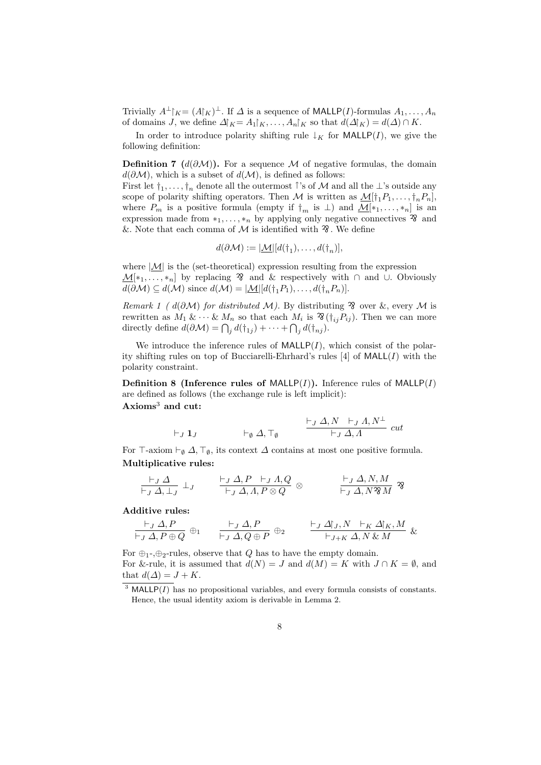Trivially  $A^{\perp}|_K = (A|_K)^{\perp}$ . If  $\Delta$  is a sequence of MALLP(*I*)-formulas  $A_1, \ldots, A_n$ of domains *J*, we define  $\Delta | K = A_1 | K, \ldots, A_n | K$  so that  $d(\Delta | K) = d(\Delta) \cap K$ .

In order to introduce polarity shifting rule  $\downarrow$ <sub>K</sub> for MALLP(*I*), we give the following definition:

**Definition 7** ( $d(\partial M)$ ). For a sequence *M* of negative formulas, the domain *d*( $\partial M$ ), which is a subset of *d*( $M$ ), is defined as follows:

First let  $\dagger_1, \ldots, \dagger_n$  denote all the outermost *↑*'s of *M* and all the *⊥*'s outside any scope of polarity shifting operators. Then *M* is written as  $M[f_1P_1,\ldots,f_nP_n]$ , where  $P_m$  is a positive formula (empty if  $\dagger_m$  is  $\perp$ ) and  $M[*_1, \ldots, *_n]$  is an expression made from  $*_1, \ldots, *_n$  by applying only negative connectives  $\overline{3}$  and &. Note that each comma of  $\mathcal M$  is identified with  $\mathcal X$ . We define

$$
d(\partial \mathcal{M}) := |\underline{\mathcal{M}}| [d(\dagger_1), \dots, d(\dagger_n)],
$$

where  $|M|$  is the (set-theoretical) expression resulting from the expression  $\underline{\mathcal{M}}[\ast_1, \ldots, \ast_n]$  by replacing  $\mathcal X$  and & respectively with  $\cap$  and  $\cup$ . Obviously *d*( $\partial M$ ) ⊆ *d*( $M$ ) since *d*( $M$ ) =  $|M||d(\dagger_1 P_1), \ldots, d(\dagger_n P_n)|$ .

*Remark 1 (*  $d(\partial M)$  *for distributed M)*. By distributing  $\mathcal{R}$  over &, every *M* is rewritten as  $M_1 \& \cdots \& M_n$  so that each  $M_i$  is  $\mathfrak{B}(\dagger_{ij}P_{ij})$ . Then we can more directly define  $d(\partial \mathcal{M}) = \bigcap_j d(\dagger_{1j}) + \cdots + \bigcap_j d(\dagger_{nj}).$ 

We introduce the inference rules of  $\text{MALLP}(I)$ , which consist of the polarity shifting rules on top of Bucciarelli-Ehrhard's rules [4] of MALL(*I*) with the polarity constraint.

**Definition 8 (Inference rules of MALLP** $(I)$ **).** Inference rules of MALLP $(I)$ are defined as follows (the exchange rule is left implicit): **Axioms**<sup>3</sup> **and cut:**

$$
\vdash_J \mathbf{1}_J \qquad \qquad \vdash_{\emptyset} \Delta, \top_{\emptyset} \qquad \qquad \frac{\vdash_J \Delta, N \vdash_J \Lambda, N^{\perp}}{\vdash_J \Delta, \Lambda} \ cut
$$

For  $\top$ -axiom  $\vdash_{\emptyset} \Delta, \top_{\emptyset}$ , its context  $\Delta$  contains at most one positive formula. **Multiplicative rules:**

$$
\frac{\vdash_J \Delta}{\vdash_J \Delta, \bot_J} \bot_J \qquad \frac{\vdash_J \Delta, P \vdash_J \Lambda, Q}{\vdash_J \Delta, \Lambda, P \otimes Q} \otimes \qquad \frac{\vdash_J \Delta, N, M}{\vdash_J \Delta, N \mathcal{B} M} \mathcal{B}
$$

**Additive rules:**

$$
\frac{\vdash_J \Delta, P}{\vdash_J \Delta, P \oplus Q} \oplus_1 \qquad \frac{\vdash_J \Delta, P}{\vdash_J \Delta, Q \oplus P} \oplus_2 \qquad \frac{\vdash_J \Delta \upharpoonright_J, N \vdash_K \Delta \upharpoonright_K, M}{\vdash_{J+K} \Delta, N \& M} \&
$$

For  $\oplus_1$ -, $\oplus_2$ -rules, observe that *Q* has to have the empty domain. For &-rule, it is assumed that  $d(N) = J$  and  $d(M) = K$  with  $J \cap K = \emptyset$ , and that  $d(\Delta) = J + K$ .

 $3$  MALLP( $I$ ) has no propositional variables, and every formula consists of constants. Hence, the usual identity axiom is derivable in Lemma 2.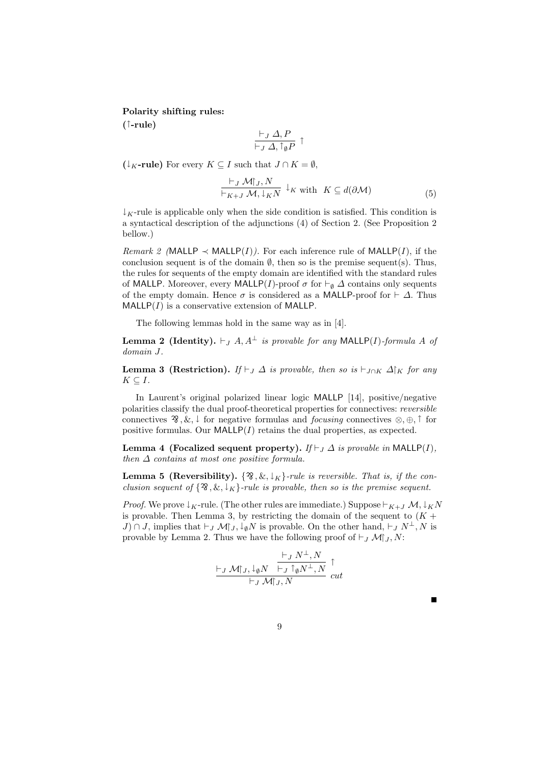**Polarity shifting rules:**

**(***↑***-rule)**

$$
\frac{\vdash_J \Delta, P}{\vdash_J \Delta, \mathbf{1}_\emptyset P} \uparrow
$$

 $($ ↓<sub>*K*</sub>**-rule** $)$  For every *K*  $\subseteq$  *I* such that  $J \cap K = ∅$ ,

$$
\frac{\vdash_J \mathcal{M}\upharpoonright_J, N}{\vdash_{K+J} \mathcal{M}, \downarrow_K N} \downarrow_K \text{ with } K \subseteq d(\partial \mathcal{M})
$$
\n<sup>(5)</sup>

 $\downarrow$ <sub>K</sub>-rule is applicable only when the side condition is satisfied. This condition is a syntactical description of the adjunctions (4) of Section 2. (See Proposition 2 bellow.)

*Remark 2* (MALLP  $\prec$  MALLP(*I*)). For each inference rule of MALLP(*I*), if the conclusion sequent is of the domain  $\emptyset$ , then so is the premise sequent(s). Thus, the rules for sequents of the empty domain are identified with the standard rules of MALLP. Moreover, every MALLP(*I*)-proof  $\sigma$  for  $\vdash_{\emptyset} \Delta$  contains only sequents of the empty domain. Hence  $\sigma$  is considered as a MALLP-proof for  $\vdash \Delta$ . Thus MALLP(*I*) is a conservative extension of MALLP.

The following lemmas hold in the same way as in [4].

**Lemma 2 (Identity).**  $\vdash$  *J A, A<sup>⊥</sup> is provable for any* MALLP(*I*)*-formula A of domain J.*

**Lemma 3 (Restriction).** *If*  $\vdash$ *J*  $\Delta$  *is provable, then so is*  $\vdash$ *J* $\cap$ *K*  $\Delta$  $\upharpoonright$ *K for any*  $K \subseteq I$ *.* 

In Laurent's original polarized linear logic MALLP [14], positive/negative polarities classify the dual proof-theoretical properties for connectives: *reversible* connectives  $\mathcal{R}, \&\downarrow$  for negative formulas and *focusing* connectives  $\otimes, \oplus, \uparrow$  for positive formulas. Our  $\text{MALLP}(I)$  retains the dual properties, as expected.

**Lemma 4 (Focalized sequent property).** *If*  $\vdash$  *J*  $\Delta$  *is provable in* MALLP(*I*)*, then ∆ contains at most one positive formula.*

**Lemma 5 (Reversibility).**  $\{ \mathcal{R}, \& \downarrow_K \}$ -rule is reversible. That is, if the con*clusion sequent of*  $\{28, \& \downarrow_K\}$ *-rule is provable, then so is the premise sequent.* 

*Proof.* We prove  $\downarrow$ <sub>K</sub>-rule. (The other rules are immediate.) Suppose  $\vdash$ <sub>K+*J*</sub>  $\mathcal{M}, \downarrow$ <sub>K</sub> $N$ is provable. Then Lemma 3, by restricting the domain of the sequent to  $(K +$ *J*) ∩ *J*, implies that  $\vdash$  *J*  $\mathcal{M}$ |<sup>*j*</sup> *J*,  $\downarrow$  *ø N* is provable. On the other hand,  $\vdash$  *J*  $N^{\perp}$ , *N* is provable by Lemma 2. Thus we have the following proof of  $\vdash_j \mathcal{M}|_J, N$ :

$$
\frac{\vdash_J N^{\perp}, N}{\vdash_J \mathcal{M}\upharpoonright_J \mathcal{M}\upharpoonright_J \upharpoonright_{\emptyset} N^{\perp}, N} \downarrow_{\mathcal{M}\downharpoonright_J, N} \upharpoonright_{\mathit{cut}}
$$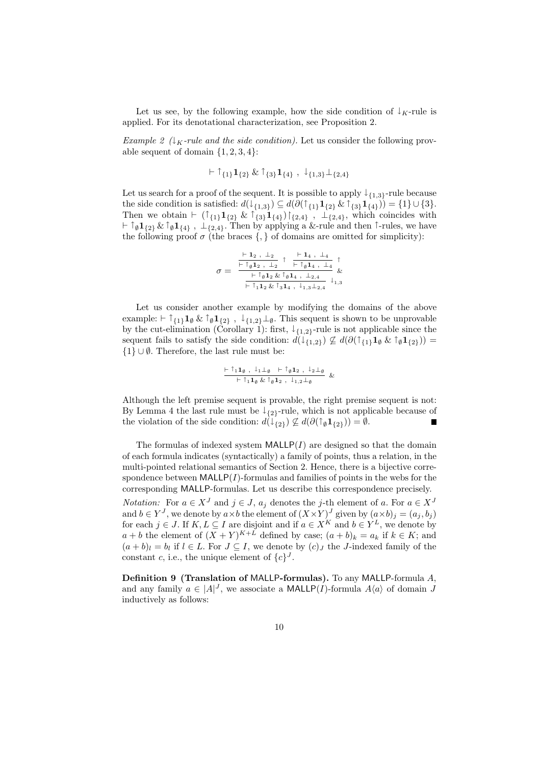Let us see, by the following example, how the side condition of  $\downarrow$ <sub>K</sub>-rule is applied. For its denotational characterization, see Proposition 2.

*Example 2* ( $\downarrow$ <sub>K</sub>*-rule and the side condition*). Let us consider the following provable sequent of domain *{*1*,* 2*,* 3*,* 4*}*:

$$
\vdash \uparrow_{\{1\}}\mathbf{1}_{\{2\}} \& \uparrow_{\{3\}}\mathbf{1}_{\{4\}}\ ,\ \downarrow_{\{1,3\}}\perp_{\{2,4\}}
$$

Let us search for a proof of the sequent. It is possible to apply *↓ {*1*,*3*}*-rule because the side condition is satisfied:  $d(\downarrow_{\{1,3\}}) \subseteq d(\partial(\uparrow_{\{1\}} 1_{\{2\}} \& \uparrow_{\{3\}} 1_{\{4\}})) = \{1\} \cup \{3\}.$ Then we obtain  $\vdash$  ( $\uparrow$ <sub>{1}</sub>**1**<sub>{2}</sub> &  $\uparrow$ <sub>{3}</sub>**1**<sub>{4}</sub>)  $\upharpoonright$ <sub>{2,4}</sub>,  $\downarrow$ <sub>{2,4}</sub>, which coincides with *` ↑ <sup>∅</sup>***1***{*2*}* &*↑ <sup>∅</sup>***1***{*4*} , ⊥{*2*,*4*}*. Then by applying a &-rule and then *↑*-rules, we have the following proof  $\sigma$  (the braces  $\{,\}$  of domains are omitted for simplicity):

$$
\sigma = \frac{\frac{\vdash 1_{2}, \bot_{2}}{\vdash \uparrow_{\emptyset}1_{2}, \bot_{2}} \uparrow \frac{\vdash 1_{4}, \bot_{4}}{\vdash \uparrow_{\emptyset}1_{4}, \bot_{4}} \uparrow}_{\& \& \frac{\vdash \uparrow_{\emptyset}1_{2} \& \uparrow_{\emptyset}1_{4}, \bot_{2,4}}{\vdash \uparrow_{1}1_{2} \& \uparrow_{3}1_{4}, \bot_{1,3} \bot_{2,4}} \downarrow_{1,3}}
$$

Let us consider another example by modifying the domains of the above example:  $\vdash \uparrow_{\{1\}}\mathbf{1}_{\emptyset}\&\uparrow_{\emptyset}\mathbf{1}_{\{2\}}\&\downarrow_{\{1,2\}}\perp_{\emptyset}$ . This sequent is shown to be unprovable by the cut-elimination (Corollary 1): first,  $\downarrow$ <sub>{1,2}</sub>-rule is not applicable since the sequent fails to satisfy the side condition:  $d(\downarrow_{\{1,2\}}) \not\subseteq d(\partial(\uparrow_{\{1\}}\mathbf{1}_{\emptyset} \& \uparrow_{\emptyset} \mathbf{1}_{\{2\}}))$  = *{*1*} ∪ ∅*. Therefore, the last rule must be:

$$
\frac{\vdash \uparrow_1 \mathbf{1}_{\emptyset} , \downarrow_1 \perp_{\emptyset} + \uparrow_{\emptyset} \mathbf{1}_2 , \downarrow_2 \perp_{\emptyset} }{\vdash \uparrow_1 \mathbf{1}_{\emptyset} \& \uparrow_{\emptyset} \mathbf{1}_2 , \downarrow_{1,2} \perp_{\emptyset}} \&
$$

Although the left premise sequent is provable, the right premise sequent is not: By Lemma 4 the last rule must be *↓ {*2*}*-rule, which is not applicable because of the violation of the side condition:  $d(\downarrow_{\{2\}}) \not\subseteq d(\partial(\uparrow_{\emptyset} \mathbf{1}_{\{2\}})) = \emptyset$ . Г

The formulas of indexed system  $\text{MALLP}(I)$  are designed so that the domain of each formula indicates (syntactically) a family of points, thus a relation, in the multi-pointed relational semantics of Section 2. Hence, there is a bijective correspondence between  $\text{MALLP}(I)$ -formulas and families of points in the webs for the corresponding MALLP-formulas. Let us describe this correspondence precisely.

*Notation:* For  $a \in X^J$  and  $j \in J$ ,  $a_j$  denotes the *j*-th element of *a*. For  $a \in X^J$ and  $b \in Y^J$ , we denote by  $a \times b$  the element of  $(X \times Y)^J$  given by  $(a \times b)_j = (a_j, b_j)$ for each  $j \in J$ . If  $K, L \subseteq I$  are disjoint and if  $a \in X^K$  and  $b \in Y^L$ , we denote by  $a + b$  the element of  $(X + Y)^{K+L}$  defined by case;  $(a + b)_k = a_k$  if  $k \in K$ ; and  $(a + b)_l = b_l$  if  $l \in L$ . For  $J \subseteq I$ , we denote by  $(c)_J$  the *J*-indexed family of the constant *c*, i.e., the unique element of  $\{c\}^J$ .

**Definition 9 (Translation of** MALLP**-formulas).** To any MALLP-formula *A*, and any family  $a \in |A|^J$ , we associate a MALLP(*I*)-formula  $A\langle a \rangle$  of domain *J* inductively as follows: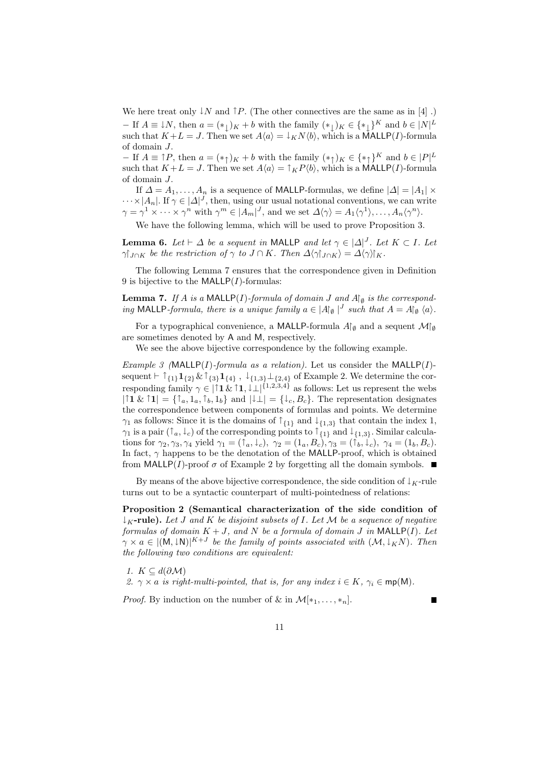We here treat only  $\downarrow$ *N* and  $\uparrow$ *P*. (The other connectives are the same as in [4].) *−* If  $A \equiv \downarrow N$ , then  $a = (\ast_{\downarrow})_K + b$  with the family  $(\ast_{\downarrow})_K \in {\ast_{\downarrow}}^K$  and  $b \in [N]^L$ such that  $K + L = J$ . Then we set  $A\langle a \rangle = \downarrow_K N\langle b \rangle$ , which is a MALLP(*I*)-formula of domain *J*.

*−* If  $A \equiv \uparrow P$ , then  $a = (*\uparrow)K + b$  with the family  $(*\uparrow)K \in \{*\uparrow\}^K$  and  $b \in |P|^L$ such that  $K + L = J$ . Then we set  $A\langle a \rangle = \int_K P\langle b \rangle$ , which is a MALLP(*I*)-formula of domain *J*.

If  $\Delta = A_1, \ldots, A_n$  is a sequence of MALLP-formulas, we define  $|\Delta| = |A_1| \times$  $\cdots \times |A_n|$ . If  $\gamma \in |\Delta|^J$ , then, using our usual notational conventions, we can write  $\gamma = \gamma^1 \times \cdots \times \gamma^n$  with  $\gamma^m \in |A_m|^J$ , and we set  $\Delta \langle \gamma \rangle = A_1 \langle \gamma^1 \rangle, \ldots, A_n \langle \gamma^n \rangle$ .

We have the following lemma, which will be used to prove Proposition 3.

**Lemma 6.** Let  $\vdash \Delta$  be a sequent in MALLP and let  $\gamma \in |\Delta|^J$ . Let  $K \subset I$ . Let  $\gamma|_{J\cap K}$  be the restriction of  $\gamma$  to  $J\cap K$ . Then  $\Delta\langle \gamma|_{J\cap K}\rangle = \Delta\langle \gamma|_{K}$ .

The following Lemma 7 ensures that the correspondence given in Definition 9 is bijective to the MALLP(*I*)-formulas:

**Lemma 7.** *If A is a* MALLP(*I*)*-formula of domain J* and  $A\uparrow$ <sub> $\theta$ </sub> *is the corresponding* MALLP*-formula, there is a unique family*  $a \in |A|_{\emptyset} |^{J}$  such that  $A = A|_{\emptyset} \langle a \rangle$ .

For a typographical convenience, a MALLP-formula  $A\uparrow$ <sup> $\theta$ </sup> and a sequent  $\mathcal{M}\uparrow$ <sup> $\theta$ </sup> are sometimes denoted by A and M, respectively.

We see the above bijective correspondence by the following example.

*Example 3 (*MALLP(*I*)*-formula as a relation).* Let us consider the MALLP(*I*) sequent  $\vdash \uparrow_{\{1\}}\mathbf{1}_{\{2\}}\&\uparrow_{\{3\}}\mathbf{1}_{\{4\}}\ ,\ \downarrow_{\{1,3\}}\bot_{\{2,4\}}\$  of Example 2. We determine the corresponding family  $\gamma \in |1 \& 1, \downarrow \perp|^{{1,2,3,4}}$  as follows: Let us represent the webs  $|1 \& 1 \rangle = {\uparrow_a, 1_a, \uparrow_b, 1_b}$  and  $|\downarrow \perp| = {\downarrow_c, B_c}$ . The representation designates the correspondence between components of formulas and points. We determine *γ*<sub>1</sub> as follows: Since it is the domains of  $\uparrow$ <sub>{1}</sub> and  $\downarrow$ <sub>{1,3}</sub> that contain the index 1, *γ*<sub>1</sub> is a pair  $(\uparrow_a, \downarrow_c)$  of the corresponding points to  $\uparrow$ <sub>{1}</sub> and  $\downarrow$ <sub>{1,3}</sub>. Similar calculations for  $\gamma_2, \gamma_3, \gamma_4$  yield  $\gamma_1 = (\uparrow_a, \downarrow_c), \ \gamma_2 = (1_a, B_c), \ \gamma_3 = (\uparrow_b, \downarrow_c), \ \gamma_4 = (1_b, B_c).$ In fact,  $\gamma$  happens to be the denotation of the MALLP-proof, which is obtained from MALLP(*I*)-proof  $\sigma$  of Example 2 by forgetting all the domain symbols.  $\blacksquare$ 

By means of the above bijective correspondence, the side condition of  $\downarrow$ <sub>K</sub>-rule turns out to be a syntactic counterpart of multi-pointedness of relations:

**Proposition 2 (Semantical characterization of the side condition of** *↓K***-rule).** *Let J and K be disjoint subsets of I. Let M be a sequence of negative formulas of domain*  $K + J$ *, and*  $N$  *be a formula of domain*  $J$  *in* MALLP( $I$ )*.* Let  $\gamma \times a \in |(\mathsf{M}, \downarrow \mathsf{N})|^{K+J}$  be the family of points associated with  $(\mathcal{M}, \downarrow_K \mathcal{N})$ . Then *the following two conditions are equivalent:*

*1.*  $K ⊆ d(∂M)$ *2.*  $\gamma \times a$  *is right-multi-pointed, that is, for any index*  $i \in K$ ,  $\gamma_i \in \text{mp}(M)$ *.* 

*Proof.* By induction on the number of & in  $\mathcal{M}[\ast_1, \ldots, \ast_n].$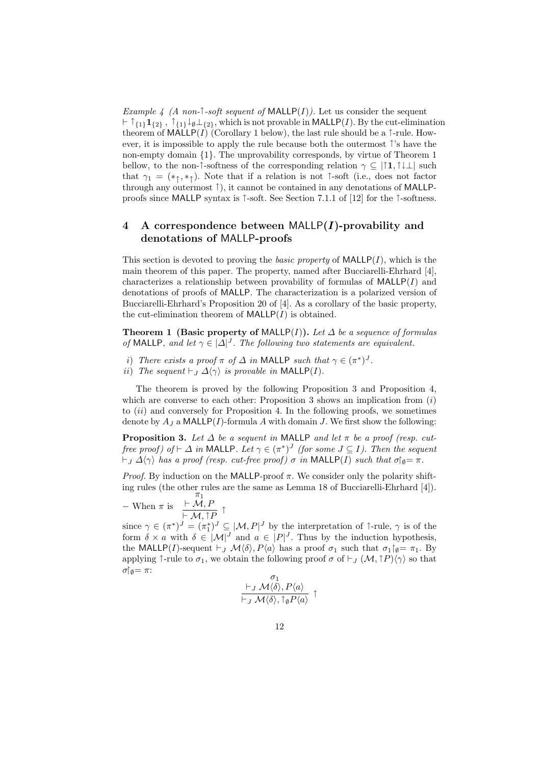*Example 4 (A non-* $\uparrow$ *-soft sequent of* MALLP(*I*)). Let us consider the sequent  $\vdash$  ↑<sub>{1}</sub>**1**<sub>{2}</sub>, ↑<sub>{1}</sub>↓<sub>Ø</sub>⊥<sub>{2}</sub>, which is not provable in MALLP(*I*). By the cut-elimination theorem of  $\text{MALLP}(I)$  (Corollary 1 below), the last rule should be a  $\uparrow$ -rule. However, it is impossible to apply the rule because both the outermost *↑*'s have the non-empty domain *{*1*}*. The unprovability corresponds, by virtue of Theorem 1 bellow, to the non- $\uparrow$ -softness of the corresponding relation  $\gamma \subset |\uparrow 1, \uparrow \downarrow \perp|$  such that  $\gamma_1 = (*_\uparrow, *_\uparrow)$ . Note that if a relation is not  $\uparrow$ -soft (i.e., does not factor through any outermost *↑*), it cannot be contained in any denotations of MALLPproofs since MALLP syntax is *↑*-soft. See Section 7.1.1 of [12] for the *↑*-softness.

# **4 A correspondence between** MALLP**(***I***)-provability and denotations of** MALLP**-proofs**

This section is devoted to proving the *basic property* of MALLP(*I*), which is the main theorem of this paper. The property, named after Bucciarelli-Ehrhard [4], characterizes a relationship between provability of formulas of MALLP(*I*) and denotations of proofs of MALLP. The characterization is a polarized version of Bucciarelli-Ehrhard's Proposition 20 of [4]. As a corollary of the basic property, the cut-elimination theorem of  $\text{MALLP}(I)$  is obtained.

**Theorem 1 (Basic property of MALLP(** $I$ **)).** Let  $\Delta$  be a sequence of formulas *of* MALLP, and let  $\gamma \in |\Delta|^J$ . The following two statements are equivalent.

- *i*) *There exists a proof*  $\pi$  *of*  $\Delta$  *in* MALLP *such that*  $\gamma \in (\pi^*)^J$ .
- *ii*) *The sequent*  $\vdash_J \Delta \langle \gamma \rangle$  *is provable in* MALLP(*I*)*.*

The theorem is proved by the following Proposition 3 and Proposition 4, which are converse to each other: Proposition 3 shows an implication from (*i*) to (*ii*) and conversely for Proposition 4. In the following proofs, we sometimes denote by  $A_J$  a MALLP(*I*)-formula *A* with domain *J*. We first show the following:

**Proposition 3.** Let  $\Delta$  be a sequent in MALLP and let  $\pi$  be a proof (resp. cut*free proof) of*  $\vdash \Delta$  *in* MALLP*. Let*  $\gamma \in (\pi^*)^J$  *(for some*  $J \subseteq I$ *). Then the sequent*  $\nvdash$ *J*  $\Delta \langle \gamma \rangle$  *has a proof (resp. cut-free proof)*  $\sigma$  *in* MALLP(*I*) *such that*  $\sigma$  $\uparrow$  $\phi$ =  $\pi$ *.* 

*Proof.* By induction on the MALLP-proof *π*. We consider only the polarity shifting rules (the other rules are the same as Lemma 18 of Bucciarelli-Ehrhard [4]). *π*1

$$
-\text{ When } \pi \text{ is } \frac{\vdash \mathcal{M}, P}{\vdash \mathcal{M}, \uparrow P} \uparrow
$$

since  $\gamma \in (\pi^*)^J = (\pi^*_1)^J \subseteq [M, P]^J$  by the interpretation of  $\uparrow$ -rule,  $\gamma$  is of the form  $\delta \times a$  with  $\delta \in |\mathcal{M}|^J$  and  $a \in |P|^J$ . Thus by the induction hypothesis, the MALLP(*I*)-sequent  $\vdash$  *J*  $\mathcal{M}\langle\delta\rangle$ ,  $P\langle a\rangle$  has a proof  $\sigma_1$  such that  $\sigma_1\upharpoonright_{\emptyset}=\pi_1$ . By applying  $\uparrow$ -rule to  $\sigma_1$ , we obtain the following proof  $\sigma$  of  $\vdash_J (\mathcal{M}, \uparrow P) \langle \gamma \rangle$  so that *σ* $\uparrow$  *φ*= *π*:

$$
\begin{array}{c}\n\sigma_1 \\
\vdash_J {\mathcal M} \langle \delta \rangle, P\langle a \rangle \\
\vdash_J {\mathcal M} \langle \delta \rangle, \uparrow_\emptyset P\langle a \rangle \\
\end{array} \uparrow
$$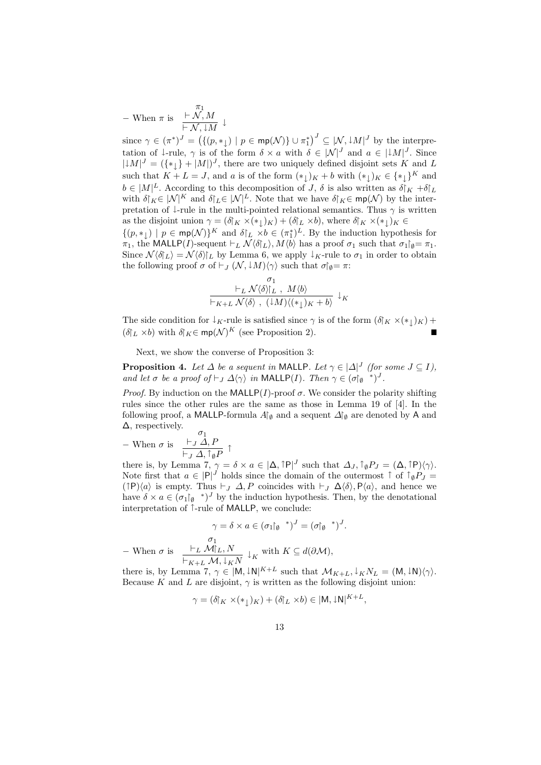*−* When *π* is *π*1  $\vdash \mathcal{N}, M$ *` N , ↓M ↓*

since  $\gamma \in (\pi^*)^J = (\{(p, *_{\downarrow}) \mid p \in \mathsf{mp}(\mathcal{N})\} \cup \pi_1^*)^J \subseteq [\mathcal{N}, \downarrow M]^J$  by the interpretation of  $\downarrow$ -rule,  $\gamma$  is of the form  $\delta \times a$  with  $\delta \in |\mathcal{N}|^J$  and  $a \in |\mathcal{M}|^J$ . Since  $|LM|^J = (\{\ast_{\downarrow}\} + |M|)^J$ , there are two uniquely defined disjoint sets *K* and *L* such that  $K + L = J$ , and *a* is of the form  $(*_{\downarrow})_K + b$  with  $(*_{\downarrow})_K \in {*_{\downarrow}}^K$  and  $b \in |M|^L$ . According to this decomposition of *J*,  $\delta$  is also written as  $\delta |K| + \delta |L|$ with  $\delta|_K \in |\mathcal{N}|^K$  and  $\delta|_L \in |\mathcal{N}|^L$ . Note that we have  $\delta|_K \in \mathsf{mp}(\mathcal{N})$  by the interpretation of  $\downarrow$ -rule in the multi-pointed relational semantics. Thus  $\gamma$  is written as the disjoint union  $\gamma = (\delta \vert_K \times (\ast \downarrow) \vert_K) + (\delta \vert_L \times b)$ , where  $\delta \vert_K \times (\ast \downarrow) \vert_K \in$ 

 $\{(p, *_1) \mid p \in \text{mp}(\mathcal{N})\}^K$  and  $\delta|_L \times b \in (\pi_1^*)^L$ . By the induction hypothesis for *π*<sub>1</sub>, the MALLP(*I*)-sequent  $\vdash_L \mathcal{N} \langle \delta_L \rangle$ ,  $M \langle \vec{b} \rangle$  has a proof  $\sigma_1$  such that  $\sigma_1 \upharpoonright_{\mathfrak{g}} = \pi_1$ . Since  $\mathcal{N}\langle \delta | L \rangle = \mathcal{N} \langle \delta | L \rangle$  by Lemma 6, we apply  $\downarrow K$ -rule to  $\sigma_1$  in order to obtain the following proof  $\sigma$  of  $\vdash_J (\mathcal{N}, \downarrow M) \langle \gamma \rangle$  such that  $\sigma \upharpoonright_{\emptyset} = \pi$ :

$$
\begin{array}{c}\n\sigma_1 \\
\vdash_L \mathcal{N}\langle\delta\rangle|_L, M\langle b\rangle \\
\vdash_{K+L} \mathcal{N}\langle\delta\rangle, (\downarrow M)\langle (*_\downarrow)_K + b\rangle \end{array} \downarrow_K
$$

The side condition for  $\downarrow$ <sub>K</sub>-rule is satisfied since  $\gamma$  is of the form  $(\delta \vert_K \times (\ast \downarrow)_{K})$  +  $(\delta_L \times b)$  with  $\delta_K \in \text{mp}(\mathcal{N})^K$  (see Proposition 2).

Next, we show the converse of Proposition 3:

**Proposition 4.** Let  $\Delta$  be a sequent in MALLP. Let  $\gamma \in |\Delta|^J$  (for some  $J \subseteq I$ ), *and let*  $\sigma$  *be a proof of*  $\vdash_J \Delta \langle \gamma \rangle$  *in* MALLP(*I*)*. Then*  $\gamma \in (\sigma \upharpoonright_{\emptyset}^* )^J$ .

*Proof.* By induction on the MALLP(*I*)-proof  $\sigma$ . We consider the polarity shifting rules since the other rules are the same as those in Lemma 19 of [4]. In the following proof, a MALLP-formula  $A\uparrow$ <sup>0</sup> and a sequent  $\Delta\uparrow$ <sup>0</sup> are denoted by A and ∆, respectively.

*−* When *σ* is *σ*1 *`<sup>J</sup> ∆, P `<sup>J</sup> ∆, ↑ ∅P ↑*

there is, by Lemma 7,  $\gamma = \delta \times a \in [\Delta, \uparrow P]^J$  such that  $\Delta_J, \uparrow_{\emptyset} P_J = (\Delta, \uparrow P)\langle \gamma \rangle$ . Note first that  $a \in |P|^J$  holds since the domain of the outermost  $\uparrow$  of  $\uparrow_{\emptyset} P_J =$  $(\uparrow \mathsf{P})\langle a \rangle$  is empty. Thus  $\vdash_J \Delta, P$  coincides with  $\vdash_J \Delta \langle \delta \rangle, \mathsf{P} \langle a \rangle$ , and hence we have  $\delta \times a \in (\sigma_1 \upharpoonright_{\emptyset}^*')^J$  by the induction hypothesis. Then, by the denotational interpretation of *↑*-rule of MALLP, we conclude:

$$
\gamma = \delta \times a \in (\sigma_1\upharpoonright_{\emptyset}^*)^J = (\sigma\upharpoonright_{\emptyset}^*)^J.
$$

*−* When *σ* is *σ*1  $\vdash_L \mathcal{M}|_L, N$  $\frac{\vdash_L \mathcal{M}|_L, N}{\vdash_{K+L} \mathcal{M}, \downarrow_K N} \downarrow_K$  with  $K \subseteq d(\partial \mathcal{M}),$ 

there is, by Lemma 7,  $\gamma \in [M, \downarrow N]^{K+L}$  such that  $\mathcal{M}_{K+L}, \downarrow_K N_L = (M, \downarrow N) \langle \gamma \rangle$ . Because *K* and *L* are disjoint,  $\gamma$  is written as the following disjoint union:

$$
\gamma = (\delta \upharpoonright_K \times (*_\downarrow)_K) + (\delta \upharpoonright_L \times b) \in |M, \downarrow N|^{K+L},
$$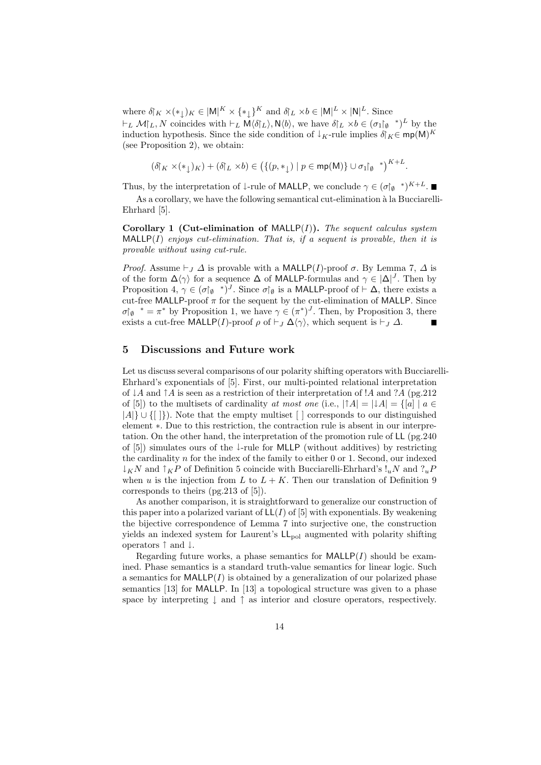where  $\delta_K \times (*_1)_K \in |M|^K \times {*,}_1^K$  and  $\delta_L \times b \in |M|^L \times |N|^L$ . Since  $\vdash_L \mathcal{M}|_L, N$  coincides with  $\vdash_L M\langle \delta |_L \rangle, N\langle b \rangle$ , we have  $\delta |_L \times b \in (\sigma_1 |_{\emptyset}^*)^L$  by the induction hypothesis. Since the side condition of  $\downarrow$ <sub>K</sub>-rule implies  $\delta$ <sub>*K*</sub>∈ mp(M)<sup>*K*</sup> (see Proposition 2), we obtain:

$$
(\delta \upharpoonright_K \times (*_\downarrow)_K) + (\delta \upharpoonright_L \times b) \in \big(\{(p,*_\downarrow) \mid p \in \mathsf{mp}(\mathsf{M})\} \cup \sigma_1\upharpoonright_{\emptyset} {}^{*})^{K+L}.
$$

Thus, by the interpretation of  $\downarrow$ -rule of MALLP, we conclude  $\gamma \in (\sigma \mid \varphi^*)^{K+L}$ .

As a corollary, we have the following semantical cut-elimination à la Bucciarelli-Ehrhard [5].

**Corollary 1 (Cut-elimination of** MALLP(*I*)**).** *The sequent calculus system* MALLP(*I*) *enjoys cut-elimination. That is, if a sequent is provable, then it is provable without using cut-rule.*

*Proof.* Assume  $\vdash$  *J*  $\Delta$  is provable with a MALLP(*I*)-proof  $\sigma$ . By Lemma 7,  $\Delta$  is of the form  $\Delta\langle\gamma\rangle$  for a sequence  $\Delta$  of MALLP-formulas and  $\gamma \in |\Delta|^J$ . Then by Proposition 4,  $\gamma \in (\sigma \uparrow_{\emptyset}^*')^J$ . Since  $\sigma \uparrow_{\emptyset}$  is a MALLP-proof of  $\vdash \Delta$ , there exists a cut-free MALLP-proof  $\pi$  for the sequent by the cut-elimination of MALLP. Since  $\sigma$ <sup> $\uparrow$ </sup> $\phi$ <sup>\*</sup> =  $\pi$ <sup>\*</sup> by Proposition 1, we have  $\gamma \in (\pi^*)^J$ . Then, by Proposition 3, there exists a cut-free MALLP(*I*)-proof  $\rho$  of  $\vdash$   $J$   $\Delta\langle\gamma\rangle$ , which sequent is  $\vdash$   $J$   $\Delta$ .

#### **5 Discussions and Future work**

Let us discuss several comparisons of our polarity shifting operators with Bucciarelli-Ehrhard's exponentials of [5]. First, our multi-pointed relational interpretation of *↓A* and *↑A* is seen as a restriction of their interpretation of !*A* and ?*A* (pg.212 of [5]) to the multisets of cardinality *at most one* (i.e.,  $|{\uparrow}A| = |{\downarrow}A| = \{[a] \mid a \in$ *|A|} ∪ {*[ ]*}*). Note that the empty multiset [ ] corresponds to our distinguished element *∗*. Due to this restriction, the contraction rule is absent in our interpretation. On the other hand, the interpretation of the promotion rule of LL (pg.240 of [5]) simulates ours of the *↓*-rule for MLLP (without additives) by restricting the cardinality *n* for the index of the family to either 0 or 1. Second, our indexed *↓KN* and *↑KP* of Definition 5 coincide with Bucciarelli-Ehrhard's !*uN* and ?*uP* when *u* is the injection from *L* to  $L + K$ . Then our translation of Definition 9 corresponds to theirs (pg.213 of [5]).

As another comparison, it is straightforward to generalize our construction of this paper into a polarized variant of  $LL(I)$  of [5] with exponentials. By weakening the bijective correspondence of Lemma 7 into surjective one, the construction yields an indexed system for Laurent's  $LL_{pol}$  augmented with polarity shifting operators *↑* and *↓*.

Regarding future works, a phase semantics for  $\text{MALLP}(I)$  should be examined. Phase semantics is a standard truth-value semantics for linear logic. Such a semantics for  $\text{MALLP}(I)$  is obtained by a generalization of our polarized phase semantics [13] for MALLP. In [13] a topological structure was given to a phase space by interpreting *↓* and *↑* as interior and closure operators, respectively.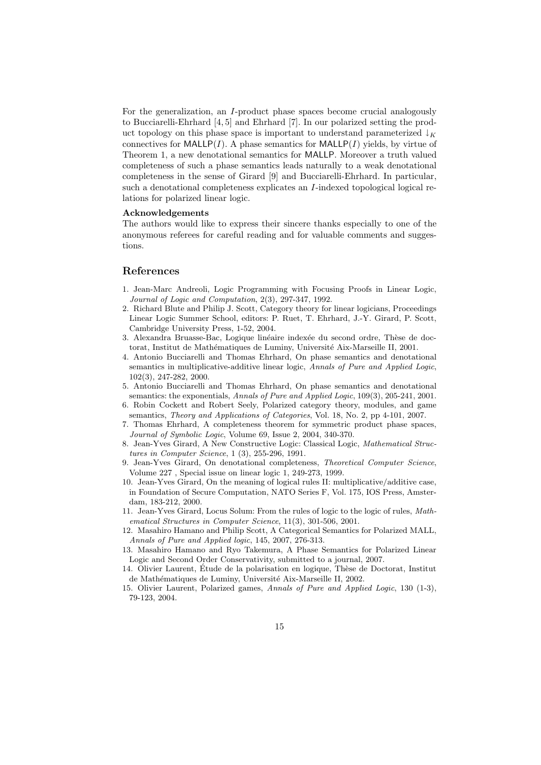For the generalization, an *I*-product phase spaces become crucial analogously to Bucciarelli-Ehrhard [4, 5] and Ehrhard [7]. In our polarized setting the product topology on this phase space is important to understand parameterized  $\downarrow_K$ connectives for MALLP( $I$ ). A phase semantics for MALLP( $I$ ) yields, by virtue of Theorem 1, a new denotational semantics for MALLP. Moreover a truth valued completeness of such a phase semantics leads naturally to a weak denotational completeness in the sense of Girard [9] and Bucciarelli-Ehrhard. In particular, such a denotational completeness explicates an *I*-indexed topological logical relations for polarized linear logic.

#### **Acknowledgements**

The authors would like to express their sincere thanks especially to one of the anonymous referees for careful reading and for valuable comments and suggestions.

#### **References**

- 1. Jean-Marc Andreoli, Logic Programming with Focusing Proofs in Linear Logic, *Journal of Logic and Computation*, 2(3), 297-347, 1992.
- 2. Richard Blute and Philip J. Scott, Category theory for linear logicians, Proceedings Linear Logic Summer School, editors: P. Ruet, T. Ehrhard, J.-Y. Girard, P. Scott, Cambridge University Press, 1-52, 2004.
- 3. Alexandra Bruasse-Bac, Logique linéaire indexée du second ordre, Thèse de doctorat, Institut de Mathématiques de Luminy, Université Aix-Marseille II, 2001.
- 4. Antonio Bucciarelli and Thomas Ehrhard, On phase semantics and denotational semantics in multiplicative-additive linear logic, *Annals of Pure and Applied Logic*, 102(3), 247-282, 2000.
- 5. Antonio Bucciarelli and Thomas Ehrhard, On phase semantics and denotational semantics: the exponentials, *Annals of Pure and Applied Logic*, 109(3), 205-241, 2001.
- 6. Robin Cockett and Robert Seely, Polarized category theory, modules, and game semantics, *Theory and Applications of Categories*, Vol. 18, No. 2, pp 4-101, 2007.
- 7. Thomas Ehrhard, A completeness theorem for symmetric product phase spaces, *Journal of Symbolic Logic*, Volume 69, Issue 2, 2004, 340-370.
- 8. Jean-Yves Girard, A New Constructive Logic: Classical Logic, *Mathematical Structures in Computer Science*, 1 (3), 255-296, 1991.
- 9. Jean-Yves Girard, On denotational completeness, *Theoretical Computer Science*, Volume 227 , Special issue on linear logic 1, 249-273, 1999.
- 10. Jean-Yves Girard, On the meaning of logical rules II: multiplicative/additive case, in Foundation of Secure Computation, NATO Series F, Vol. 175, IOS Press, Amsterdam, 183-212, 2000.
- 11. Jean-Yves Girard, Locus Solum: From the rules of logic to the logic of rules, *Mathematical Structures in Computer Science*, 11(3), 301-506, 2001.
- 12. Masahiro Hamano and Philip Scott, A Categorical Semantics for Polarized MALL, *Annals of Pure and Applied logic*, 145, 2007, 276-313.
- 13. Masahiro Hamano and Ryo Takemura, A Phase Semantics for Polarized Linear Logic and Second Order Conservativity, submitted to a journal, 2007.
- 14. Olivier Laurent, Étude de la polarisation en logique, Thèse de Doctorat, Institut de Mathématiques de Luminy, Université Aix-Marseille II, 2002.
- 15. Olivier Laurent, Polarized games, *Annals of Pure and Applied Logic*, 130 (1-3), 79-123, 2004.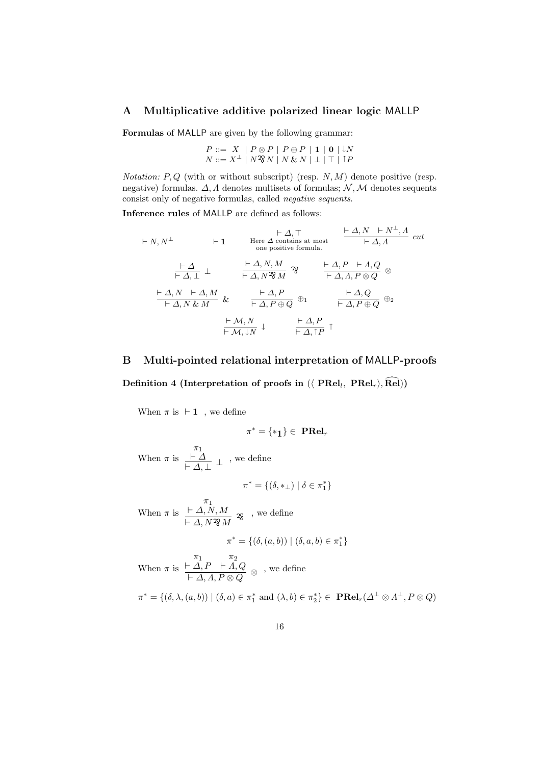# **A Multiplicative additive polarized linear logic** MALLP

**Formulas** of MALLP are given by the following grammar:

*P* ::=  $X$  |  $P ⊗ P$  |  $P ⊕ P$  | **1** | **0** | ↓*N*  $N := X^{\perp}$   $\mid N \mathfrak{B} N \mid N \& N \mid \perp \mid \top \mid \uparrow P$ 

*Notation: P, Q* (with or without subscript) (resp. *N, M*) denote positive (resp. negative) formulas. *∆, Λ* denotes multisets of formulas; *N ,M* denotes sequents consist only of negative formulas, called *negative sequents*.

**Inference rules** of MALLP are defined as follows:

$$
\vdash N, N^{\perp} \qquad \vdash 1 \qquad \text{Here } \Delta \text{ contains at most} \qquad \frac{\vdash \Delta, N \quad \vdash N^{\perp}, \Delta}{\vdash \Delta, \Lambda} \text{ cut}
$$
\n
$$
\frac{\vdash \Delta}{\vdash \Delta, \perp} \perp \qquad \frac{\vdash \Delta, N, M}{\vdash \Delta, N^2 \mathcal{N}} \mathcal{R} \qquad \frac{\vdash \Delta, P \quad \vdash \Delta, Q}{\vdash \Delta, \Lambda, P \otimes Q} \otimes
$$
\n
$$
\frac{\vdash \Delta, N \quad \vdash \Delta, M}{\vdash \Delta, N \ \& \ M} \& \qquad \frac{\vdash \Delta, P}{\vdash \Delta, P \oplus Q} \oplus_1 \qquad \frac{\vdash \Delta, Q}{\vdash \Delta, P \oplus Q} \oplus_2
$$
\n
$$
\frac{\vdash \mathcal{M}, N \quad \downarrow} \qquad \frac{\vdash \Delta, P}{\vdash \Delta, \mathcal{P} \oplus Q} \uparrow
$$

# **B Multi-pointed relational interpretation of** MALLP**-proofs**

 $\mathbf{Definition}$  4 (Interpretation of proofs in  $(\langle \text{ PRel}_l, \text{ PRel}_r \rangle, \text{Rel})$ )

When  $\pi$  is  $\vdash$  **1** , we define

$$
\pi^*=\{\ast_1\}\in\ \mathbf{PRel}_r
$$

When  $\pi$  is *π*1 *` ∆*  $\frac{\vdash \Delta}{\vdash \Delta, \perp}$  ⊥ , we define

$$
\pi^* = \{(\delta, *_\perp) \mid \delta \in \pi_1^*\}
$$

When *π* is *π*1 *` ∆, N, M ` ∆, N*..... .. ... ..... *M*  $\mathcal{R} \rightarrow \infty$  define

$$
^* = \{ (\delta, (a, b)) \mid (\delta, a, b) \in \pi_1^* \}
$$

When *π* is *π*1 *` ∆, P π*2  $\vdash$   $\varLambda, Q$  $\frac{1}{r} \frac{\Delta}{A} \frac{P}{A} \frac{F}{A} \frac{A}{P \otimes Q} \otimes \frac{Q}{Q}$ , we define

*π*

$$
\pi^* = \{(\delta, \lambda, (a, b)) \mid (\delta, a) \in \pi_1^* \text{ and } (\lambda, b) \in \pi_2^*\} \in \mathbf{PRel}_r(\Delta^\perp \otimes \Lambda^\perp, P \otimes Q)
$$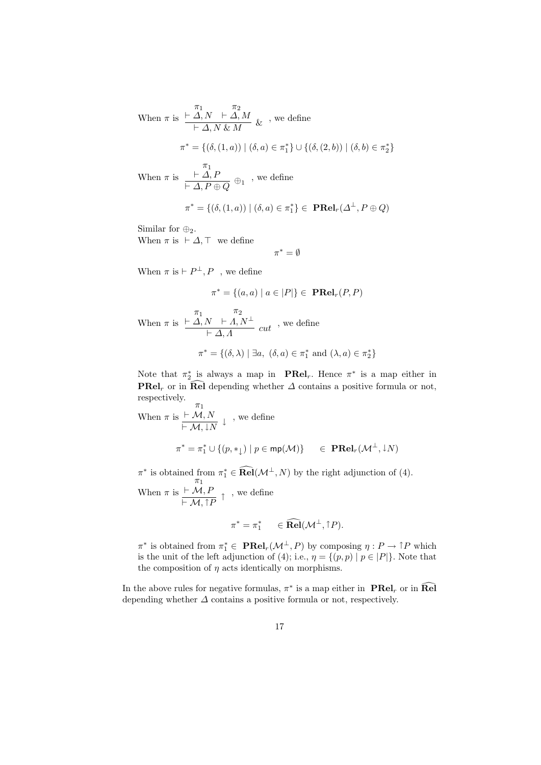When 
$$
\pi
$$
 is  $\frac{\pi_1}{\vdash \Delta, N \vdash \Delta, M} \& ,$  we define  
\n
$$
\pi^* = \{ (\delta, (1, a)) \mid (\delta, a) \in \pi_1^* \} \cup \{ (\delta, (2, b)) \mid (\delta, b) \in \pi_2^* \}
$$
\nWhen  $\pi$  is  $\frac{\pi_1}{\vdash \Delta, P \oplus Q} \oplus_1$ , we define  
\n
$$
\pi^* = \{ (\delta, (1, a)) \mid (\delta, a) \in \pi_1^* \} \in \textbf{PRel}_r(\Delta^{\perp}, P \oplus Q)
$$

Similar for *⊕*2.

When  $\pi$  is  $\vdash \Delta, \top$  we define

*π <sup>∗</sup>* = *∅*

When  $\pi$  is  $\vdash P^{\perp}, P$ , we define

$$
\pi^* = \{(a, a) \mid a \in |P|\} \in \mathbf{PRel}_r(P, P)
$$

When *π* is *π*1 *` ∆, N π*2  $\frac{N \times I}{I \times A}$ , *N*  $\frac{I}{I}$  *cut* , we define  $\pi^* = \{(\delta, \lambda) \mid \exists a, \ (\delta, a) \in \pi_1^* \text{ and } (\lambda, a) \in \pi_2^* \}$ 

Note that  $\pi_2^*$  is always a map in **PRel**<sub>*r*</sub>. Hence  $\pi^*$  is a map either in **PRel**<sub>*r*</sub> or in  $\widehat{\text{Rel}}$  depending whether  $\Delta$  contains a positive formula or not, respectively.

When  $\pi$  is *π*1  $\vdash \mathcal{M}, N$  $\frac{\vdash M, N}{\vdash M, \downarrow N} \downarrow$ , we define  $\pi^* = \pi_1^* \cup \{ (p, *_{\downarrow}) \mid p \in \mathsf{mp}(\mathcal{M}) \}$   $\in \mathbf{PRel}_r(\mathcal{M}^{\perp}, \downarrow N)$ 

 $\pi^*$  is obtained from  $\pi_1^* \in \mathbf{Rel}(\mathcal{M}^\perp, N)$  by the right adjunction of (4).

When *π* is *π*1  $\vdash \mathcal{M}, F$  $\frac{\vdash M, P}{\vdash M, \uparrow P}$  ↑ , we define

$$
\pi^* = \pi_1^* \qquad \in \widehat{\mathrm{Rel}}(\mathcal{M}^\perp, \uparrow P).
$$

 $\pi^*$  is obtained from  $\pi_1^* \in \mathbf{PRel}_r(\mathcal{M}^\perp, P)$  by composing  $\eta: P \to \uparrow P$  which is the unit of the left adjunction of (4); i.e.,  $\eta = \{(p, p) | p \in |P|\}$ . Note that the composition of  $\eta$  acts identically on morphisms.

In the above rules for negative formulas,  $\pi^*$  is a map either in  $\textbf{PRel}_r$  or in  $\textbf{Rel}$ depending whether  $\Delta$  contains a positive formula or not, respectively.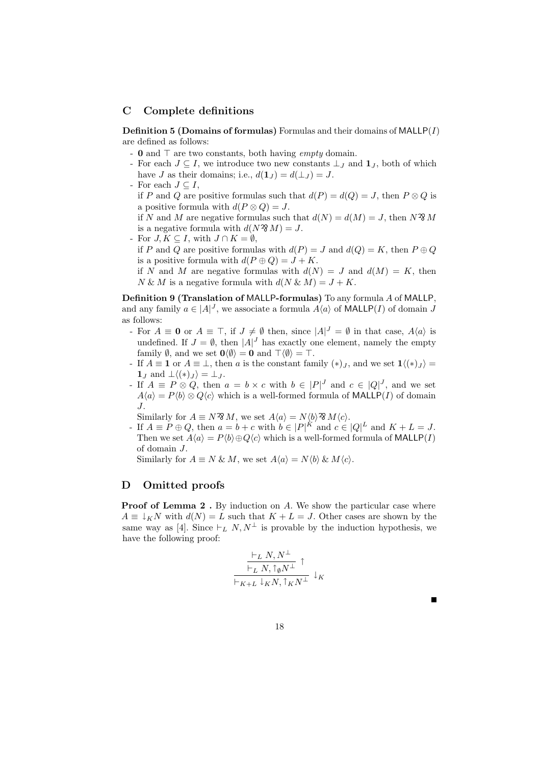### **C Complete definitions**

**Definition 5 (Domains of formulas)** Formulas and their domains of MALLP(*I*) are defined as follows:

- **0** and  $\top$  are two constants, both having *empty* domain.
- For each  $J \subseteq I$ , we introduce two new constants  $\perp_J$  and  $\mathbf{1}_J$ , both of which have *J* as their domains; i.e.,  $d(\mathbf{1}_J) = d(\perp_J) = J$ .
- For each  $J \subseteq I$ ,

if *P* and *Q* are positive formulas such that  $d(P) = d(Q) = J$ , then  $P \otimes Q$  is a positive formula with  $d(P \otimes Q) = J$ .

if *N* and *M* are negative formulas such that  $d(N) = d(M) = J$ , then  $N^2 M$ is a negative formula with  $d(N \mathcal{R} M) = J$ .

- For *J, K ⊆ I*, with *J ∩ K* = *∅*,
- if *P* and *Q* are positive formulas with  $d(P) = J$  and  $d(Q) = K$ , then  $P \oplus Q$ is a positive formula with  $d(P \oplus Q) = J + K$ .

if *N* and *M* are negative formulas with  $d(N) = J$  and  $d(M) = K$ , then  $N \& M$  is a negative formula with  $d(N \& M) = J + K$ .

**Definition 9 (Translation of** MALLP**-formulas)** To any formula *A* of MALLP, and any family  $a \in |A|^J$ , we associate a formula  $A\langle a \rangle$  of **MALLP**(*I*) of domain *J* as follows:

- For  $A \equiv \mathbf{0}$  or  $A \equiv \top$ , if  $J \neq \emptyset$  then, since  $|A|^J = \emptyset$  in that case,  $A\langle a \rangle$  is undefined. If  $J = \emptyset$ , then  $|A|^J$  has exactly one element, namely the empty family  $\emptyset$ , and we set  $\mathbf{0}\langle\emptyset\rangle = \mathbf{0}$  and  $\top\langle\emptyset\rangle = \top$ .
- $\text{If } A \equiv \mathbf{1} \text{ or } A \equiv \bot \text{, then } a \text{ is the constant family } (*)_J \text{, and we set } \mathbf{1} \langle (*)_J \rangle =$  $\mathbf{1}_I$  and  $\perp \langle (*)_I \rangle = \perp I$ .
- If  $A \equiv P \otimes Q$ , then  $a = b \times c$  with  $b \in |P|$ <sup>*J*</sup> and  $c \in |Q|$ <sup>*J*</sup>, and we set  $A\langle a \rangle = P\langle b \rangle \otimes Q\langle c \rangle$  which is a well-formed formula of MALLP(*I*) of domain *J*.
- Similarly for  $A \equiv N^2 M$ , we set  $A\langle a \rangle = N \langle b \rangle^2 M \langle c \rangle$ .
- $P \oplus Q$ , then  $a = b + c$  with  $b \in |P|^K$  and  $c \in |Q|^L$  and  $K + L = J$ . Then we set  $A\langle a \rangle = P\langle b \rangle \oplus Q\langle c \rangle$  which is a well-formed formula of MALLP(*I*) of domain *J*.

Similarly for  $A \equiv N \& M$ , we set  $A\langle a \rangle = N\langle b \rangle \& M\langle c \rangle$ .

## **D Omitted proofs**

**Proof of Lemma 2.** By induction on *A*. We show the particular case where  $A \equiv \downarrow_K N$  with  $d(N) = L$  such that  $K + L = J$ . Other cases are shown by the same way as [4]. Since  $\vdash_L N, N^{\perp}$  is provable by the induction hypothesis, we have the following proof:

$$
\frac{\vdash_L N, N^\perp}{\vdash_L N, \uparrow_\emptyset N^\perp} \uparrow
$$
  

$$
\frac{\vdash_L N, \uparrow_\emptyset N^\perp}{\vdash_{K+L} \downarrow_K N, \uparrow_K N^\perp} \downarrow_K
$$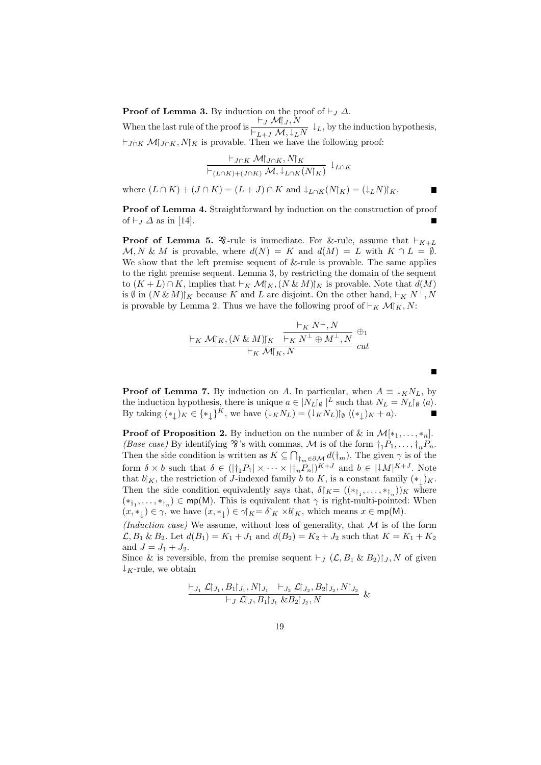**Proof of Lemma 3.** By induction on the proof of  $\vdash$  *J*  $\Delta$ . When the last rule of the proof is  $\frac{\vdash_J \mathcal{M}\upharpoonright_J N}{\vdash_{L+J} \mathcal{M}, \downarrow_L N} \downarrow_L$ , by the induction hypothesis,  $\vdash_{J \cap K} M\upharpoonright_{J \cap K} N\upharpoonright_K$  is provable. Then we have the following proof:

$$
\frac{\vdash_{J\cap K} \mathcal{M} \upharpoonright_{J\cap K}, N \upharpoonright_K}{\vdash_{(L\cap K)+(J\cap K)} \mathcal{M}, \downarrow_{L\cap K} (N \upharpoonright_K)} \downarrow_{L\cap K}
$$

where  $(L \cap K) + (J \cap K) = (L + J) \cap K$  and  $\downarrow_{L \cap K}(N|_{K}) = (\downarrow_{L} N)|_{K}$ .

**Proof of Lemma 4.** Straightforward by induction on the construction of proof of  $\vdash_J \Delta$  as in [14].

**Proof of Lemma 5.**  $\mathcal{F}$ -rule is immediate. For &-rule, assume that  $\vdash_{K+L}$  $M, N \& M$  is provable, where  $d(N) = K$  and  $d(M) = L$  with  $K \cap L = \emptyset$ . We show that the left premise sequent of  $&$ -rule is provable. The same applies to the right premise sequent. Lemma 3, by restricting the domain of the sequent to  $(K + L) ∩ K$ , implies that  $\vdash_K \mathcal{M} \upharpoonright_K (N \& M) \upharpoonright_K$  is provable. Note that  $d(M)$ is  $\emptyset$  in  $(N \& M)$ <sup>*K*</sup> because *K* and *L* are disjoint. On the other hand,  $\vdash_K N^{\perp}$ , N is provable by Lemma 2. Thus we have the following proof of  $\vdash_K \mathcal{M} \upharpoonright_K N$ :

$$
\frac{\vdash_K N^\perp, N}{\vdash_K M\upharpoonright_K (N \& M)\upharpoonright_K} \xrightarrow{\vdash_K N^\perp, N} \bigoplus_{\mathcal{U}} \oplus_1
$$
  
\n
$$
\vdash_K M\upharpoonright_K N^\perp \oplus M^\perp, N
$$
 cut

**Proof of Lemma 7.** By induction on *A*. In particular, when  $A \equiv \downarrow_K N_L$ , by the induction hypothesis, there is unique  $a \in |N_L|\mathfrak{g}|^L$  such that  $N_L = N_L|\mathfrak{g}|^L$ . By taking  $(*_{\downarrow})_K \in {*_{\downarrow}}^K$ , we have  $(\downarrow_K N_L) = (\downarrow_K N_L)_{\emptyset} \langle (*_{\downarrow})_K + a \rangle$ .

Г

**Proof of Proposition 2.** By induction on the number of  $\&$  in  $\mathcal{M}[*_1, \ldots, *_n]$ . *(Base case)* By identifying  $\mathfrak{B}$ 's with commas, *M* is of the form  $\dagger_1 P_1, \ldots, \dagger_n P_n$ . Then the side condition is written as  $K \subseteq \bigcap_{\dagger_m \in \partial M} d(\dagger_m)$ . The given  $\gamma$  is of the form  $\delta \times b$  such that  $\delta \in (|\dagger_1 P_1| \times \cdots \times |\dagger_n P_n|)^{K+J}$  and  $b \in |\downarrow M|^{K+J}$ . Note that  $b \upharpoonright K$ , the restriction of *J*-indexed family *b* to *K*, is a constant family  $(*_{\downarrow})_K$ . Then the side condition equivalently says that,  $\delta$   $K = ((*_{\dagger_1}, \ldots, *_{\dagger_n}))_K$  where  $(*_{\dagger_1}, \ldots, *_{\dagger_n}) \in \text{mp}(M)$ . This is equivalent that  $\gamma$  is right-multi-pointed: When  $(x, *_{\downarrow}) \in \gamma$ , we have  $(x, *_{\downarrow}) \in \gamma \upharpoonright_K = \delta \upharpoonright_K \times b \upharpoonright_K$ , which means  $x \in \text{mp}(M)$ .

*(Induction case)* We assume, without loss of generality, that *M* is of the form  $\mathcal{L}, B_1 \& B_2$ . Let  $d(B_1) = K_1 + J_1$  and  $d(B_2) = K_2 + J_2$  such that  $K = K_1 + K_2$ and  $J = J_1 + J_2$ .

Since & is reversible, from the premise sequent  $\vdash_J (\mathcal{L}, B_1 \& B_2) \upharpoonright_J N$  of given *↓K*-rule, we obtain

$$
\frac{\vdash_{J_1} \mathcal{L} \upharpoonright_{J_1}, B_1 \upharpoonright_{J_1}, N \upharpoonright_{J_1} \vdash_{J_2} \mathcal{L} \upharpoonright_{J_2}, B_2 \upharpoonright_{J_2}, N \upharpoonright_{J_2}}{\vdash_{J} \mathcal{L} \upharpoonright_{J_1}, B_1 \upharpoonright_{J_1} \& B_2 \upharpoonright_{J_2}, N} \&
$$